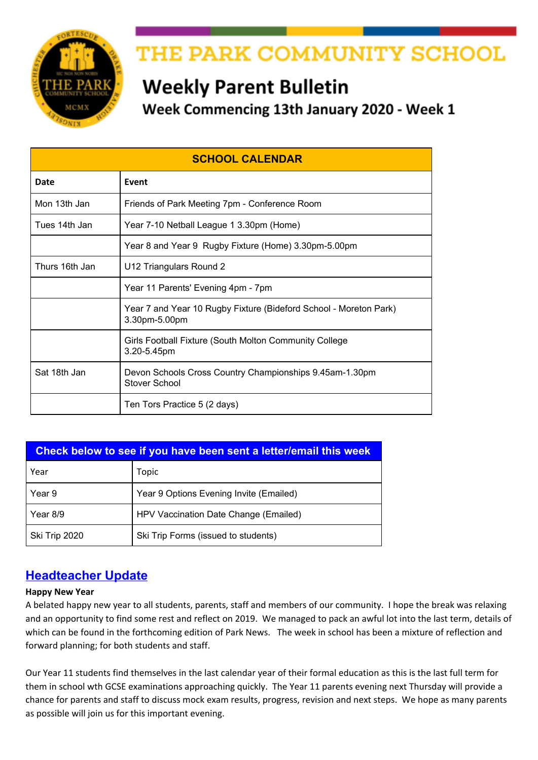

# THE PARK COMMUNITY SCHOOL

# **Weekly Parent Bulletin**

Week Commencing 13th January 2020 - Week 1

| <b>SCHOOL CALENDAR</b> |                                                                                    |
|------------------------|------------------------------------------------------------------------------------|
| Date                   | Event                                                                              |
| Mon 13th Jan           | Friends of Park Meeting 7pm - Conference Room                                      |
| Tues 14th Jan          | Year 7-10 Netball League 1 3.30pm (Home)                                           |
|                        | Year 8 and Year 9 Rugby Fixture (Home) 3.30pm-5.00pm                               |
| Thurs 16th Jan         | U12 Triangulars Round 2                                                            |
|                        | Year 11 Parents' Evening 4pm - 7pm                                                 |
|                        | Year 7 and Year 10 Rugby Fixture (Bideford School - Moreton Park)<br>3.30pm-5.00pm |
|                        | Girls Football Fixture (South Molton Community College<br>3.20-5.45pm              |
| Sat 18th Jan           | Devon Schools Cross Country Championships 9.45am-1.30pm<br>Stover School           |
|                        | Ten Tors Practice 5 (2 days)                                                       |

| Check below to see if you have been sent a letter/email this week |                                         |  |
|-------------------------------------------------------------------|-----------------------------------------|--|
| Year                                                              | Topic                                   |  |
| Year 9                                                            | Year 9 Options Evening Invite (Emailed) |  |
| Year 8/9                                                          | HPV Vaccination Date Change (Emailed)   |  |
| Ski Trip 2020                                                     | Ski Trip Forms (issued to students)     |  |

# **Headteacher Update**

#### **Happy New Year**

A belated happy new year to all students, parents, staff and members of our community. I hope the break was relaxing and an opportunity to find some rest and reflect on 2019. We managed to pack an awful lot into the last term, details of which can be found in the forthcoming edition of Park News. The week in school has been a mixture of reflection and forward planning; for both students and staff.

Our Year 11 students find themselves in the last calendar year of their formal education as this is the last full term for them in school wth GCSE examinations approaching quickly. The Year 11 parents evening next Thursday will provide a chance for parents and staff to discuss mock exam results, progress, revision and next steps. We hope as many parents as possible will join us for this important evening.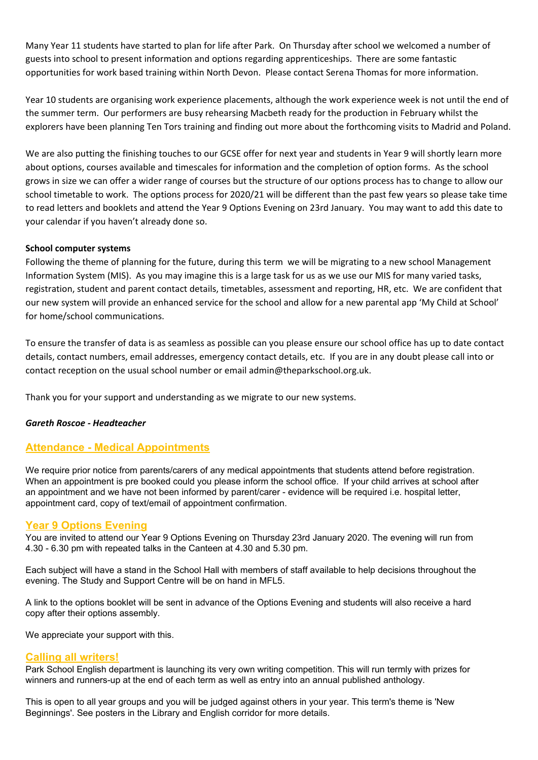Many Year 11 students have started to plan for life after Park. On Thursday after school we welcomed a number of guests into school to present information and options regarding apprenticeships. There are some fantastic opportunities for work based training within North Devon. Please contact Serena Thomas for more information.

Year 10 students are organising work experience placements, although the work experience week is not until the end of the summer term. Our performers are busy rehearsing Macbeth ready for the production in February whilst the explorers have been planning Ten Tors training and finding out more about the forthcoming visits to Madrid and Poland.

We are also putting the finishing touches to our GCSE offer for next year and students in Year 9 will shortly learn more about options, courses available and timescales for information and the completion of option forms. As the school grows in size we can offer a wider range of courses but the structure of our options process has to change to allow our school timetable to work. The options process for 2020/21 will be different than the past few years so please take time to read letters and booklets and attend the Year 9 Options Evening on 23rd January. You may want to add this date to your calendar if you haven't already done so.

#### **School computer systems**

Following the theme of planning for the future, during this term we will be migrating to a new school Management Information System (MIS). As you may imagine this is a large task for us as we use our MIS for many varied tasks, registration, student and parent contact details, timetables, assessment and reporting, HR, etc. We are confident that our new system will provide an enhanced service for the school and allow for a new parental app 'My Child at School' for home/school communications.

To ensure the transfer of data is as seamless as possible can you please ensure our school office has up to date contact details, contact numbers, email addresses, emergency contact details, etc. If you are in any doubt please call into or contact reception on the usual school number or email admin@theparkschool.org.uk.

Thank you for your support and understanding as we migrate to our new systems.

#### *Gareth Roscoe - Headteacher*

## **Attendance - Medical Appointments**

We require prior notice from parents/carers of any medical appointments that students attend before registration. When an appointment is pre booked could you please inform the school office. If your child arrives at school after an appointment and we have not been informed by parent/carer - evidence will be required i.e. hospital letter, appointment card, copy of text/email of appointment confirmation.

#### **Year 9 Options Evening**

You are invited to attend our Year 9 Options Evening on Thursday 23rd January 2020. The evening will run from 4.30 - 6.30 pm with repeated talks in the Canteen at 4.30 and 5.30 pm.

Each subject will have a stand in the School Hall with members of staff available to help decisions throughout the evening. The Study and Support Centre will be on hand in MFL5.

A link to the options booklet will be sent in advance of the Options Evening and students will also receive a hard copy after their options assembly.

We appreciate your support with this.

#### **Calling all writers!**

Park School English department is launching its very own writing competition. This will run termly with prizes for winners and runners-up at the end of each term as well as entry into an annual published anthology.

This is open to all year groups and you will be judged against others in your year. This term's theme is 'New Beginnings'. See posters in the Library and English corridor for more details.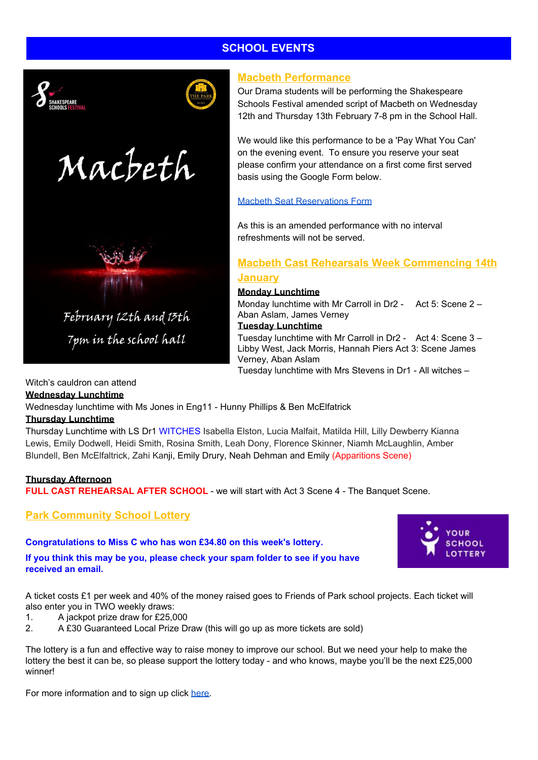# **SCHOOL EVENTS**



# **Macbeth Performance**

Our Drama students will be performing the Shakespeare Schools Festival amended script of Macbeth on Wednesday 12th and Thursday 13th February 7-8 pm in the School Hall.

We would like this performance to be a 'Pay What You Can' on the evening event. To ensure you reserve your seat please confirm your attendance on a first come first served basis using the Google Form below.

#### Macbeth Seat [Reservations](https://docs.google.com/forms/d/e/1FAIpQLSf2mqyMp3nMvNdlwgjqSRMqxBn6TpT5PmhBzrX-v_GioIezow/viewform) Form

As this is an amended performance with no interval refreshments will not be served.

## **Macbeth Cast Rehearsals Week Commencing 14th January**

# **Monday Lunchtime**

Monday lunchtime with Mr Carroll in Dr2 - Act 5: Scene 2 – Aban Aslam, James Verney **Tuesday Lunchtime**

Tuesday lunchtime with Mr Carroll in Dr2 - Act 4: Scene 3 – Libby West, Jack Morris, Hannah Piers Act 3: Scene James Verney, Aban Aslam

Tuesday lunchtime with Mrs Stevens in Dr1 - All witches –

#### Witch's cauldron can attend

**Wednesday Lunchtime**

Wednesday lunchtime with Ms Jones in Eng11 - Hunny Phillips & Ben McElfatrick

#### **Thursday Lunchtime**

Thursday Lunchtime with LS Dr1 WITCHES Isabella Elston, Lucia Malfait, Matilda Hill, Lilly Dewberry Kianna Lewis, Emily Dodwell, Heidi Smith, Rosina Smith, Leah Dony, Florence Skinner, Niamh McLaughlin, Amber Blundell, Ben McElfaltrick, Zahi Kanji, Emily Drury, Neah Dehman and Emily (Apparitions Scene)

#### **Thursday Afternoon**

**FULL CAST REHEARSAL AFTER SCHOOL** - we will start with Act 3 Scene 4 - The Banquet Scene.

## **Park Community School Lottery**

#### **Congratulations to Miss C who has won £34.80 on this week's lottery.**

**If you think this may be you, please check your spam folder to see if you have received an email.**



A ticket costs £1 per week and 40% of the money raised goes to Friends of Park school projects. Each ticket will also enter you in TWO weekly draws:

- 1. A jackpot prize draw for £25,000
- 2. A £30 Guaranteed Local Prize Draw (this will go up as more tickets are sold)

The lottery is a fun and effective way to raise money to improve our school. But we need your help to make the lottery the best it can be, so please support the lottery today - and who knows, maybe you'll be the next £25,000 winner!

For more information and to sign up click [here.](https://www.yourschoollottery.co.uk/lottery/school/the-park-community-school)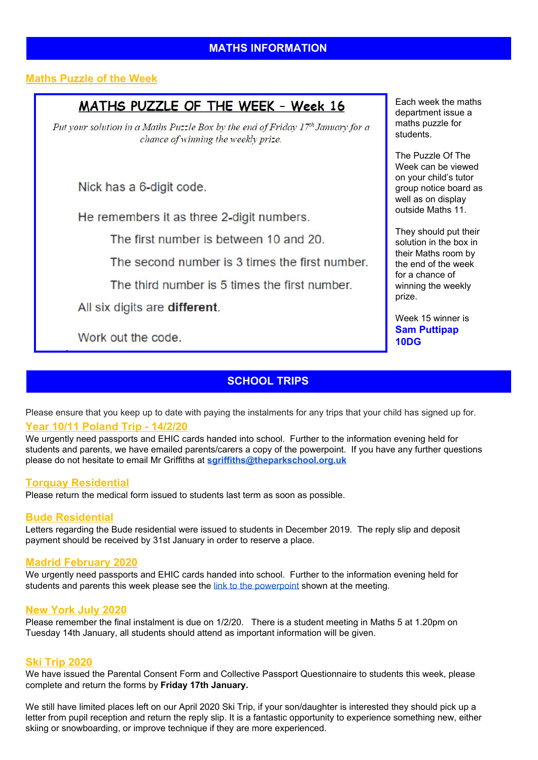# **Maths Puzzle of the Week**

# MATHS PUZZLE OF THE WEEK - Week 16

Put your solution in a Maths Puzzle Box by the end of Friday  $17<sup>th</sup>$  January for a chance of winning the weekly prize.

Nick has a 6-digit code.

He remembers it as three 2-digit numbers.

The first number is between 10 and 20.

The second number is 3 times the first number.

The third number is 5 times the first number.

All six digits are different.

Work out the code.

# **SCHOOL TRIPS**

Please ensure that you keep up to date with paying the instalments for any trips that your child has signed up for. **Year 10/11 Poland Trip - 14/2/20**

We urgently need passports and EHIC cards handed into school. Further to the information evening held for students and parents, we have emailed parents/carers a copy of the powerpoint. If you have any further questions please do not hesitate to email Mr Griffiths at **[sgriffiths@theparkschool.org.uk](mailto:sgriffiths@theparkschool.org.uk)**

#### **Torquay Residential**

Please return the medical form issued to students last term as soon as possible.

#### **Bude Residential**

Letters regarding the Bude residential were issued to students in December 2019. The reply slip and deposit payment should be received by 31st January in order to reserve a place.

#### **Madrid February 2020**

We urgently need passports and EHIC cards handed into school. Further to the information evening held for students and parents this week please see the link to the [powerpoint](http://www.theparkschool.org.uk/sites/default/files/Madrid-Parents-meeting-2020.pdf) shown at the meeting.

#### **New York July 2020**

Please remember the final instalment is due on 1/2/20. There is a student meeting in Maths 5 at 1.20pm on Tuesday 14th January, all students should attend as important information will be given.

#### **Ski Trip 2020**

We have issued the Parental Consent Form and Collective Passport Questionnaire to students this week, please complete and return the forms by **Friday 17th January.**

We still have limited places left on our April 2020 Ski Trip, if your son/daughter is interested they should pick up a letter from pupil reception and return the reply slip. It is a fantastic opportunity to experience something new, either skiing or snowboarding, or improve technique if they are more experienced.

Each week the maths department issue a maths puzzle for students.

The Puzzle Of The Week can be viewed on your child's tutor group notice board as well as on display outside Maths 11.

They should put their solution in the box in their Maths room by the end of the week for a chance of winning the weekly prize.

Week 15 winner is **Sam Puttipap 10DG**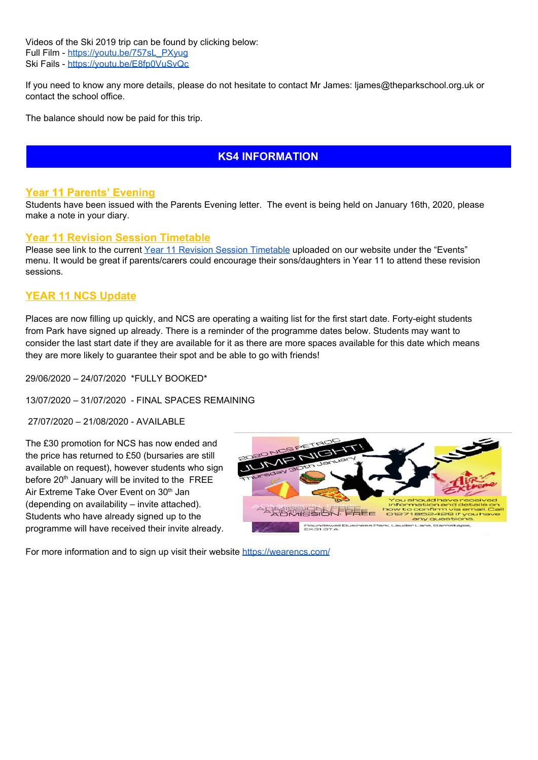Videos of the Ski 2019 trip can be found by clicking below: Full Film - [https://youtu.be/757sL\\_PXyug](https://youtu.be/757sL_PXyug) Ski Fails - <https://youtu.be/E8fp0VuSvQc>

If you need to know any more details, please do not hesitate to contact Mr James: ljames@theparkschool.org.uk or contact the school office.

The balance should now be paid for this trip.

# **KS4 INFORMATION**

#### **Year 11 Parents' Evening**

Students have been issued with the Parents Evening letter. The event is being held on January 16th, 2020, please make a note in your diary.

#### **Year 11 Revision Session Timetable**

Please see link to the current Year 11 Revision Session [Timetable](https://docs.google.com/document/d/e/2PACX-1vTPsd4YeatVdWH7VU97eQjB6lHLh8SyB0wIFRd2DUkw8xKFuBKD-VyYHnyKrRgJA5s2dSnxWxr4AHIQ/pub) uploaded on our website under the "Events" menu. It would be great if parents/carers could encourage their sons/daughters in Year 11 to attend these revision sessions.

#### **YEAR 11 NCS Update**

Places are now filling up quickly, and NCS are operating a waiting list for the first start date. Forty-eight students from Park have signed up already. There is a reminder of the programme dates below. Students may want to consider the last start date if they are available for it as there are more spaces available for this date which means they are more likely to guarantee their spot and be able to go with friends!

29/06/2020 – 24/07/2020 \*FULLY BOOKED\*

13/07/2020 – 31/07/2020 - FINAL SPACES REMAINING

27/07/2020 – 21/08/2020 - AVAILABLE

The £30 promotion for NCS has now ended and the price has returned to £50 (bursaries are still available on request), however students who sign before 20<sup>th</sup> January will be invited to the FREE Air Extreme Take Over Event on 30<sup>th</sup> Jan (depending on availability – invite attached). Students who have already signed up to the programme will have received their invite already.



For more information and to sign up visit their website <https://wearencs.com/>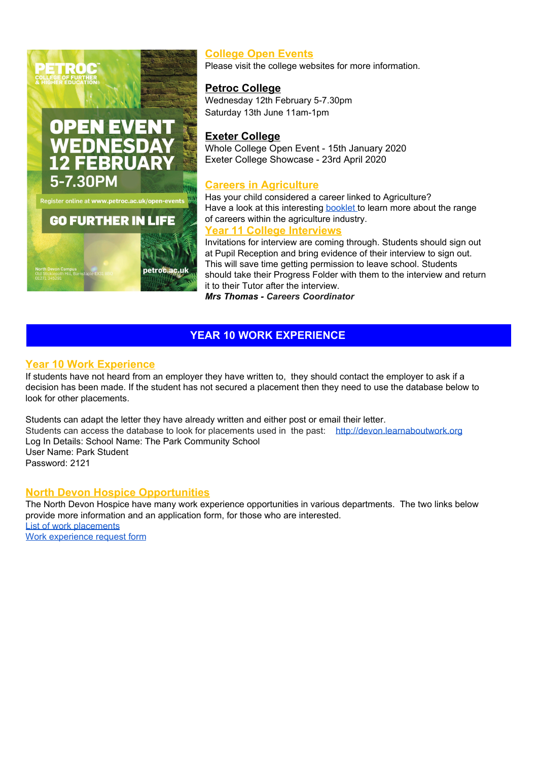

# **College Open Events**

Please visit the college websites for more information.

### **Petroc College**

Wednesday 12th February 5-7.30pm Saturday 13th June 11am-1pm

## **Exeter College**

Whole College Open Event - 15th January 2020 Exeter College Showcase - 23rd April 2020

#### **Careers in Agriculture**

Has your child considered a career linked to Agriculture? Have a look at this interesting **[booklet](https://drive.google.com/file/d/1cdNKFsaf6FuIc6GDPCa1ViQzHJOxuqAe/view) to learn more about the range** of careers within the agriculture industry.

### **Year 11 College Interviews**

Invitations for interview are coming through. Students should sign out at Pupil Reception and bring evidence of their interview to sign out. This will save time getting permission to leave school. Students should take their Progress Folder with them to the interview and return it to their Tutor after the interview.

*Mrs Thomas - Careers Coordinator*

# **YEAR 10 WORK EXPERIENCE**

## **Year 10 Work Experience**

If students have not heard from an employer they have written to, they should contact the employer to ask if a decision has been made. If the student has not secured a placement then they need to use the database below to look for other placements.

Students can adapt the letter they have already written and either post or email their letter. Students can access the database to look for placements used in the past: [http://devon.learnaboutwork.org](http://devon.learnaboutwork.org/) Log In Details: School Name: The Park Community School User Name: Park Student Password: 2121

#### **North Devon Hospice Opportunities**

The North Devon Hospice have many work experience opportunities in various departments. The two links below provide more information and an application form, for those who are interested. List of work [placements](https://drive.google.com/open?id=15sKDzQnv-jl4HPx3-FsZ5WMfOf1njk9q) Work [experience](https://drive.google.com/open?id=1ALmGqqZjk8Ycv41jQL3zuJrJrzaojh1Q) request form